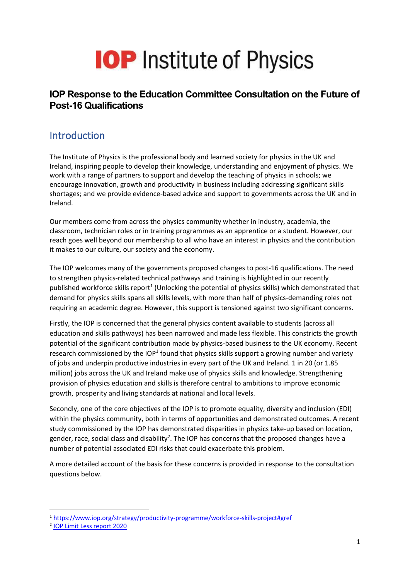# **IOP** Institute of Physics

#### **IOP Response to the Education Committee Consultation on the Future of Post-16 Qualifications**

#### **Introduction**

The Institute of Physics is the professional body and learned society for physics in the UK and Ireland, inspiring people to develop their knowledge, understanding and enjoyment of physics. We work with a range of partners to support and develop the teaching of physics in schools; we encourage innovation, growth and productivity in business including addressing significant skills shortages; and we provide evidence-based advice and support to governments across the UK and in Ireland.

Our members come from across the physics community whether in industry, academia, the classroom, technician roles or in training programmes as an apprentice or a student. However, our reach goes well beyond our membership to all who have an interest in physics and the contribution it makes to our culture, our society and the economy.

The IOP welcomes many of the governments proposed changes to post-16 qualifications. The need to strengthen physics-related technical pathways and training is highlighted in our recently published workforce skills report<sup>1</sup> (Unlocking the potential of physics skills) which demonstrated that demand for physics skills spans all skills levels, with more than half of physics-demanding roles not requiring an academic degree. However, this support is tensioned against two significant concerns.

Firstly, the IOP is concerned that the general physics content available to students (across all education and skills pathways) has been narrowed and made less flexible. This constricts the growth potential of the significant contribution made by physics-based business to the UK economy. Recent research commissioned by the IOP<sup>1</sup> found that physics skills support a growing number and variety of jobs and underpin productive industries in every part of the UK and Ireland. 1 in 20 (or 1.85 million) jobs across the UK and Ireland make use of physics skills and knowledge. Strengthening provision of physics education and skills is therefore central to ambitions to improve economic growth, prosperity and living standards at national and local levels.

Secondly, one of the core objectives of the IOP is to promote equality, diversity and inclusion (EDI) within the physics community, both in terms of opportunities and demonstrated outcomes. A recent study commissioned by the IOP has demonstrated disparities in physics take-up based on location, gender, race, social class and disability<sup>2</sup>. The IOP has concerns that the proposed changes have a number of potential associated EDI risks that could exacerbate this problem.

A more detailed account of the basis for these concerns is provided in response to the consultation questions below.

<sup>1</sup> <https://www.iop.org/strategy/productivity-programme/workforce-skills-project#gref>

<sup>&</sup>lt;sup>2</sup> [IOP Limit Less report 2020](https://www.iop.org/sites/default/files/2020-11/IOP-Limit-Less-report-2020-Nov.pdf)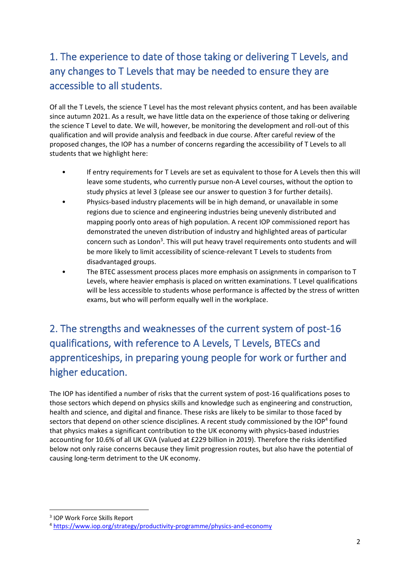### 1. The experience to date of those taking or delivering T Levels, and any changes to T Levels that may be needed to ensure they are accessible to all students.

Of all the T Levels, the science T Level has the most relevant physics content, and has been available since autumn 2021. As a result, we have little data on the experience of those taking or delivering the science T Level to date. We will, however, be monitoring the development and roll-out of this qualification and will provide analysis and feedback in due course. After careful review of the proposed changes, the IOP has a number of concerns regarding the accessibility of T Levels to all students that we highlight here:

- If entry requirements for T Levels are set as equivalent to those for A Levels then this will leave some students, who currently pursue non-A Level courses, without the option to study physics at level 3 (please see our answer to question 3 for further details).
- Physics-based industry placements will be in high demand, or unavailable in some regions due to science and engineering industries being unevenly distributed and mapping poorly onto areas of high population. A recent IOP commissioned report has demonstrated the uneven distribution of industry and highlighted areas of particular concern such as London<sup>3</sup>. This will put heavy travel requirements onto students and will be more likely to limit accessibility of science-relevant T Levels to students from disadvantaged groups.
- <span id="page-1-0"></span>• The BTEC assessment process places more emphasis on assignments in comparison to T Levels, where heavier emphasis is placed on written examinations. T Level qualifications will be less accessible to students whose performance is affected by the stress of written exams, but who will perform equally well in the workplace.

## 2. The strengths and weaknesses of the current system of post-16 qualifications, with reference to A Levels, T Levels, BTECs and apprenticeships, in preparing young people for work or further and higher education.

The IOP has identified a number of risks that the current system of post-16 qualifications poses to those sectors which depend on physics skills and knowledge such as engineering and construction, health and science, and digital and finance. These risks are likely to be similar to those faced by sectors that depend on other science disciplines. A recent study commissioned by the IOP<sup>4</sup> found that physics makes a significant contribution to the UK economy with physics-based industries accounting for 10.6% of all UK GVA (valued at £229 billion in 2019). Therefore the risks identified below not only raise concerns because they limit progression routes, but also have the potential of causing long-term detriment to the UK economy.

<sup>3</sup> IOP Work Force Skills Report

<sup>4</sup> <https://www.iop.org/strategy/productivity-programme/physics-and-economy>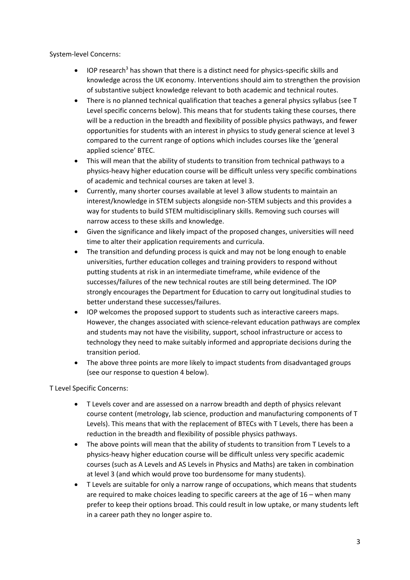System-level Concerns:

- IOP research<sup>[3](#page-1-0)</sup> has shown that there is a distinct need for physics-specific skills and knowledge across the UK economy. Interventions should aim to strengthen the provision of substantive subject knowledge relevant to both academic and technical routes.
- There is no planned technical qualification that teaches a general physics syllabus (see T Level specific concerns below). This means that for students taking these courses, there will be a reduction in the breadth and flexibility of possible physics pathways, and fewer opportunities for students with an interest in physics to study general science at level 3 compared to the current range of options which includes courses like the 'general applied science' BTEC.
- This will mean that the ability of students to transition from technical pathways to a physics-heavy higher education course will be difficult unless very specific combinations of academic and technical courses are taken at level 3.
- Currently, many shorter courses available at level 3 allow students to maintain an interest/knowledge in STEM subjects alongside non-STEM subjects and this provides a way for students to build STEM multidisciplinary skills. Removing such courses will narrow access to these skills and knowledge.
- Given the significance and likely impact of the proposed changes, universities will need time to alter their application requirements and curricula.
- The transition and defunding process is quick and may not be long enough to enable universities, further education colleges and training providers to respond without putting students at risk in an intermediate timeframe, while evidence of the successes/failures of the new technical routes are still being determined. The IOP strongly encourages the Department for Education to carry out longitudinal studies to better understand these successes/failures.
- IOP welcomes the proposed support to students such as interactive careers maps. However, the changes associated with science-relevant education pathways are complex and students may not have the visibility, support, school infrastructure or access to technology they need to make suitably informed and appropriate decisions during the transition period.
- The above three points are more likely to impact students from disadvantaged groups (see our response to question 4 below).

T Level Specific Concerns:

- T Levels cover and are assessed on a narrow breadth and depth of physics relevant course content (metrology, lab science, production and manufacturing components of T Levels). This means that with the replacement of BTECs with T Levels, there has been a reduction in the breadth and flexibility of possible physics pathways.
- The above points will mean that the ability of students to transition from T Levels to a physics-heavy higher education course will be difficult unless very specific academic courses (such as A Levels and AS Levels in Physics and Maths) are taken in combination at level 3 (and which would prove too burdensome for many students).
- T Levels are suitable for only a narrow range of occupations, which means that students are required to make choices leading to specific careers at the age of 16 – when many prefer to keep their options broad. This could result in low uptake, or many students left in a career path they no longer aspire to.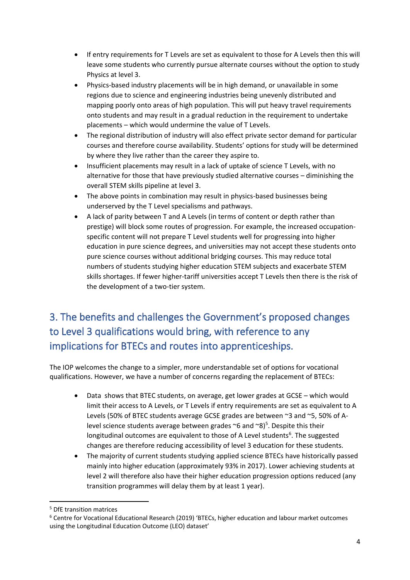- If entry requirements for T Levels are set as equivalent to those for A Levels then this will leave some students who currently pursue alternate courses without the option to study Physics at level 3.
- Physics-based industry placements will be in high demand, or unavailable in some regions due to science and engineering industries being unevenly distributed and mapping poorly onto areas of high population. This will put heavy travel requirements onto students and may result in a gradual reduction in the requirement to undertake placements – which would undermine the value of T Levels.
- The regional distribution of industry will also effect private sector demand for particular courses and therefore course availability. Students' options for study will be determined by where they live rather than the career they aspire to.
- Insufficient placements may result in a lack of uptake of science T Levels, with no alternative for those that have previously studied alternative courses – diminishing the overall STEM skills pipeline at level 3.
- The above points in combination may result in physics-based businesses being underserved by the T Level specialisms and pathways.
- A lack of parity between T and A Levels (in terms of content or depth rather than prestige) will block some routes of progression. For example, the increased occupationspecific content will not prepare T Level students well for progressing into higher education in pure science degrees, and universities may not accept these students onto pure science courses without additional bridging courses. This may reduce total numbers of students studying higher education STEM subjects and exacerbate STEM skills shortages. If fewer higher-tariff universities accept T Levels then there is the risk of the development of a two-tier system.

## 3. The benefits and challenges the Government's proposed changes to Level 3 qualifications would bring, with reference to any implications for BTECs and routes into apprenticeships.

The IOP welcomes the change to a simpler, more understandable set of options for vocational qualifications. However, we have a number of concerns regarding the replacement of BTECs:

- Data shows that BTEC students, on average, get lower grades at GCSE which would limit their access to A Levels, or T Levels if entry requirements are set as equivalent to A Levels (50% of BTEC students average GCSE grades are between ~3 and ~5, 50% of Alevel science students average between grades  $\sim$ 6 and  $\sim$ 8)<sup>5</sup>. Despite this their longitudinal outcomes are equivalent to those of A Level students<sup>6</sup>. The suggested changes are therefore reducing accessibility of level 3 education for these students.
- The majority of current students studying applied science BTECs have historically passed mainly into higher education (approximately 93% in 2017). Lower achieving students at level 2 will therefore also have their higher education progression options reduced (any transition programmes will delay them by at least 1 year).

<sup>5</sup> DfE transition matrices

<sup>6</sup> Centre for Vocational Educational Research (2019) 'BTECs, higher education and labour market outcomes using the Longitudinal Education Outcome (LEO) dataset'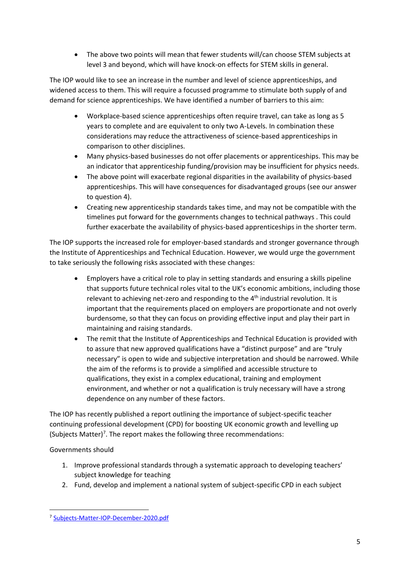• The above two points will mean that fewer students will/can choose STEM subjects at level 3 and beyond, which will have knock-on effects for STEM skills in general.

The IOP would like to see an increase in the number and level of science apprenticeships, and widened access to them. This will require a focussed programme to stimulate both supply of and demand for science apprenticeships. We have identified a number of barriers to this aim:

- Workplace-based science apprenticeships often require travel, can take as long as 5 years to complete and are equivalent to only two A-Levels. In combination these considerations may reduce the attractiveness of science-based apprenticeships in comparison to other disciplines.
- Many physics-based businesses do not offer placements or apprenticeships. This may be an indicator that apprenticeship funding/provision may be insufficient for physics needs.
- The above point will exacerbate regional disparities in the availability of physics-based apprenticeships. This will have consequences for disadvantaged groups (see our answer to question 4).
- Creating new apprenticeship standards takes time, and may not be compatible with the timelines put forward for the governments changes to technical pathways . This could further exacerbate the availability of physics-based apprenticeships in the shorter term.

The IOP supports the increased role for employer-based standards and stronger governance through the Institute of Apprenticeships and Technical Education. However, we would urge the government to take seriously the following risks associated with these changes:

- Employers have a critical role to play in setting standards and ensuring a skills pipeline that supports future technical roles vital to the UK's economic ambitions, including those relevant to achieving net-zero and responding to the 4<sup>th</sup> industrial revolution. It is important that the requirements placed on employers are proportionate and not overly burdensome, so that they can focus on providing effective input and play their part in maintaining and raising standards.
- The remit that the Institute of Apprenticeships and Technical Education is provided with to assure that new approved qualifications have a "distinct purpose" and are "truly necessary" is open to wide and subjective interpretation and should be narrowed. While the aim of the reforms is to provide a simplified and accessible structure to qualifications, they exist in a complex educational, training and employment environment, and whether or not a qualification is truly necessary will have a strong dependence on any number of these factors.

The IOP has recently published a report outlining the importance of subject-specific teacher continuing professional development (CPD) for boosting UK economic growth and levelling up (Subjects Matter)<sup>7</sup>. The report makes the following three recommendations:

Governments should

- 1. Improve professional standards through a systematic approach to developing teachers' subject knowledge for teaching
- 2. Fund, develop and implement a national system of subject-specific CPD in each subject

<sup>7</sup> [Subjects-Matter-IOP-December-2020.pdf](https://www.iop.org/sites/default/files/2020-12/Subjects-Matter-IOP-December-2020.pdf)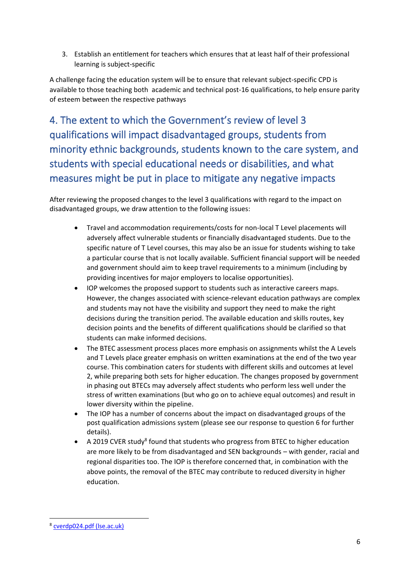3. Establish an entitlement for teachers which ensures that at least half of their professional learning is subject-specific

A challenge facing the education system will be to ensure that relevant subject-specific CPD is available to those teaching both academic and technical post-16 qualifications, to help ensure parity of esteem between the respective pathways

4. The extent to which the Government's review of level 3 qualifications will impact disadvantaged groups, students from minority ethnic backgrounds, students known to the care system, and students with special educational needs or disabilities, and what measures might be put in place to mitigate any negative impacts

After reviewing the proposed changes to the level 3 qualifications with regard to the impact on disadvantaged groups, we draw attention to the following issues:

- Travel and accommodation requirements/costs for non-local T Level placements will adversely affect vulnerable students or financially disadvantaged students. Due to the specific nature of T Level courses, this may also be an issue for students wishing to take a particular course that is not locally available. Sufficient financial support will be needed and government should aim to keep travel requirements to a minimum (including by providing incentives for major employers to localise opportunities).
- IOP welcomes the proposed support to students such as interactive careers maps. However, the changes associated with science-relevant education pathways are complex and students may not have the visibility and support they need to make the right decisions during the transition period. The available education and skills routes, key decision points and the benefits of different qualifications should be clarified so that students can make informed decisions.
- The BTEC assessment process places more emphasis on assignments whilst the A Levels and T Levels place greater emphasis on written examinations at the end of the two year course. This combination caters for students with different skills and outcomes at level 2, while preparing both sets for higher education. The changes proposed by government in phasing out BTECs may adversely affect students who perform less well under the stress of written examinations (but who go on to achieve equal outcomes) and result in lower diversity within the pipeline.
- The IOP has a number of concerns about the impact on disadvantaged groups of the post qualification admissions system (please see our response to question 6 for further details).
- A 2019 CVER study<sup>8</sup> found that students who progress from BTEC to higher education are more likely to be from disadvantaged and SEN backgrounds – with gender, racial and regional disparities too. The IOP is therefore concerned that, in combination with the above points, the removal of the BTEC may contribute to reduced diversity in higher education.

<sup>&</sup>lt;sup>8</sup> cverdp024.pdf (Ise.ac.uk)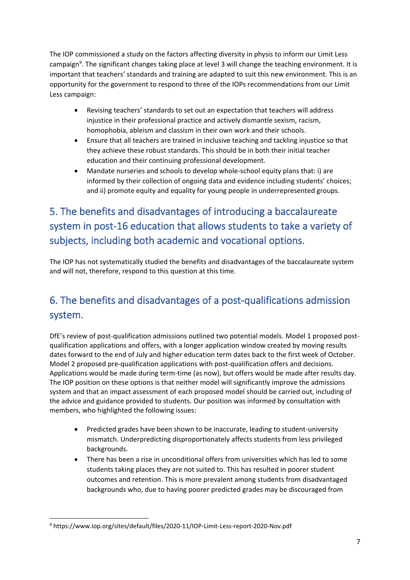The IOP commissioned a study on the factors affecting diversity in physis to inform our Limit Less campaign<sup>9</sup>. The significant changes taking place at level 3 will change the teaching environment. It is important that teachers' standards and training are adapted to suit this new environment. This is an opportunity for the government to respond to three of the IOPs recommendations from our Limit Less campaign:

- Revising teachers' standards to set out an expectation that teachers will address injustice in their professional practice and actively dismantle sexism, racism, homophobia, ableism and classism in their own work and their schools.
- Ensure that all teachers are trained in inclusive teaching and tackling injustice so that they achieve these robust standards. This should be in both their initial teacher education and their continuing professional development.
- Mandate nurseries and schools to develop whole-school equity plans that: i) are informed by their collection of ongoing data and evidence including students' choices; and ii) promote equity and equality for young people in underrepresented groups.

## 5. The benefits and disadvantages of introducing a baccalaureate system in post-16 education that allows students to take a variety of subjects, including both academic and vocational options.

The IOP has not systematically studied the benefits and disadvantages of the baccalaureate system and will not, therefore, respond to this question at this time.

#### 6. The benefits and disadvantages of a post-qualifications admission system.

DfE's review of post-qualification admissions outlined two potential models. Model 1 proposed postqualification applications and offers, with a longer application window created by moving results dates forward to the end of July and higher education term dates back to the first week of October. Model 2 proposed pre-qualification applications with post-qualification offers and decisions. Applications would be made during term-time (as now), but offers would be made after results day. The IOP position on these options is that neither model will significantly improve the admissions system and that an impact assessment of each proposed model should be carried out, including of the advice and guidance provided to students. Our position was informed by consultation with members, who highlighted the following issues:

- Predicted grades have been shown to be inaccurate, leading to student-university mismatch. Underpredicting disproportionately affects students from less privileged backgrounds.
- There has been a rise in unconditional offers from universities which has led to some students taking places they are not suited to. This has resulted in poorer student outcomes and retention. This is more prevalent among students from disadvantaged backgrounds who, due to having poorer predicted grades may be discouraged from

<sup>9</sup> https://www.iop.org/sites/default/files/2020-11/IOP-Limit-Less-report-2020-Nov.pdf